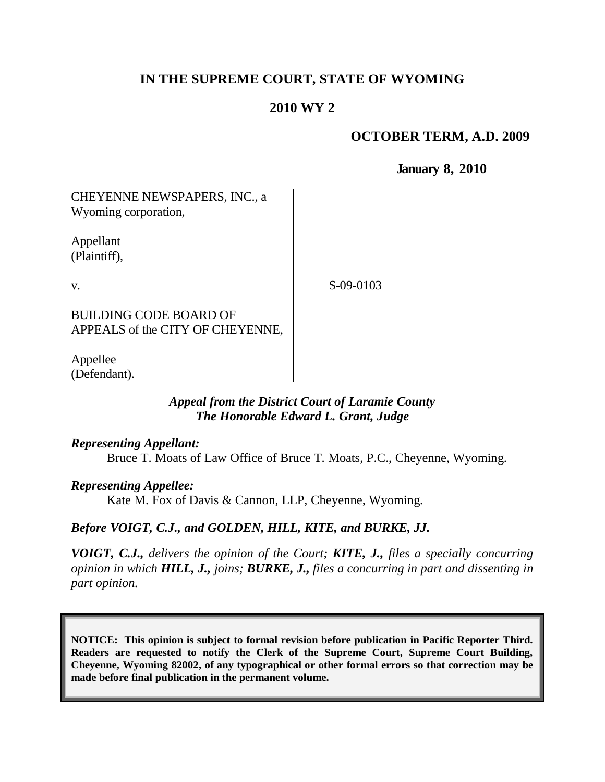# **IN THE SUPREME COURT, STATE OF WYOMING**

## **2010 WY 2**

### **OCTOBER TERM, A.D. 2009**

**January 8, 2010**

CHEYENNE NEWSPAPERS, INC., a Wyoming corporation,

Appellant (Plaintiff),

v.

S-09-0103

BUILDING CODE BOARD OF APPEALS of the CITY OF CHEYENNE,

Appellee (Defendant).

### *Appeal from the District Court of Laramie County The Honorable Edward L. Grant, Judge*

### *Representing Appellant:*

Bruce T. Moats of Law Office of Bruce T. Moats, P.C., Cheyenne, Wyoming.

### *Representing Appellee:*

Kate M. Fox of Davis & Cannon, LLP, Cheyenne, Wyoming.

### *Before VOIGT, C.J., and GOLDEN, HILL, KITE, and BURKE, JJ.*

*VOIGT, C.J., delivers the opinion of the Court; KITE, J., files a specially concurring opinion in which HILL, J., joins; BURKE, J., files a concurring in part and dissenting in part opinion.*

**NOTICE: This opinion is subject to formal revision before publication in Pacific Reporter Third. Readers are requested to notify the Clerk of the Supreme Court, Supreme Court Building, Cheyenne, Wyoming 82002, of any typographical or other formal errors so that correction may be made before final publication in the permanent volume.**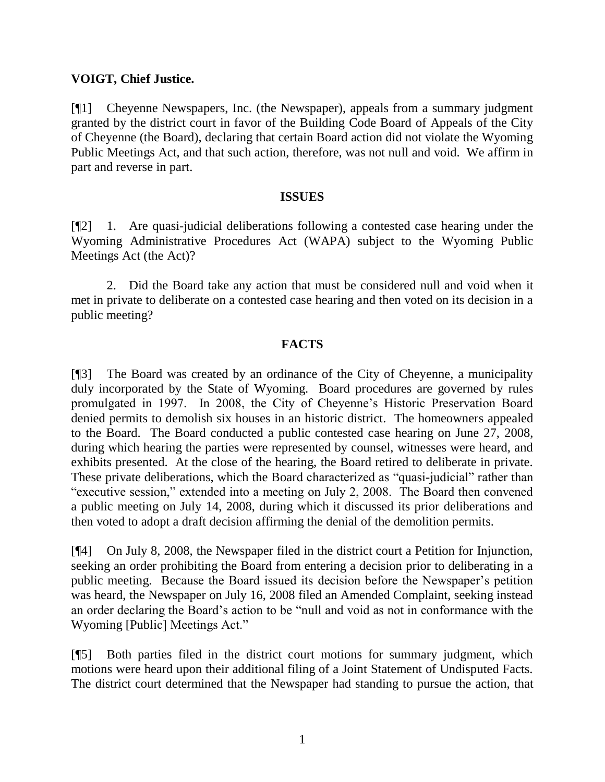### **VOIGT, Chief Justice.**

[¶1] Cheyenne Newspapers, Inc. (the Newspaper), appeals from a summary judgment granted by the district court in favor of the Building Code Board of Appeals of the City of Cheyenne (the Board), declaring that certain Board action did not violate the Wyoming Public Meetings Act, and that such action, therefore, was not null and void. We affirm in part and reverse in part.

### **ISSUES**

[¶2] 1. Are quasi-judicial deliberations following a contested case hearing under the Wyoming Administrative Procedures Act (WAPA) subject to the Wyoming Public Meetings Act (the Act)?

2. Did the Board take any action that must be considered null and void when it met in private to deliberate on a contested case hearing and then voted on its decision in a public meeting?

## **FACTS**

[¶3] The Board was created by an ordinance of the City of Cheyenne, a municipality duly incorporated by the State of Wyoming. Board procedures are governed by rules promulgated in 1997. In 2008, the City of Cheyenne's Historic Preservation Board denied permits to demolish six houses in an historic district. The homeowners appealed to the Board. The Board conducted a public contested case hearing on June 27, 2008, during which hearing the parties were represented by counsel, witnesses were heard, and exhibits presented. At the close of the hearing, the Board retired to deliberate in private. These private deliberations, which the Board characterized as "quasi-judicial" rather than "executive session," extended into a meeting on July 2, 2008. The Board then convened a public meeting on July 14, 2008, during which it discussed its prior deliberations and then voted to adopt a draft decision affirming the denial of the demolition permits.

[¶4] On July 8, 2008, the Newspaper filed in the district court a Petition for Injunction, seeking an order prohibiting the Board from entering a decision prior to deliberating in a public meeting. Because the Board issued its decision before the Newspaper's petition was heard, the Newspaper on July 16, 2008 filed an Amended Complaint, seeking instead an order declaring the Board's action to be "null and void as not in conformance with the Wyoming [Public] Meetings Act."

[¶5] Both parties filed in the district court motions for summary judgment, which motions were heard upon their additional filing of a Joint Statement of Undisputed Facts. The district court determined that the Newspaper had standing to pursue the action, that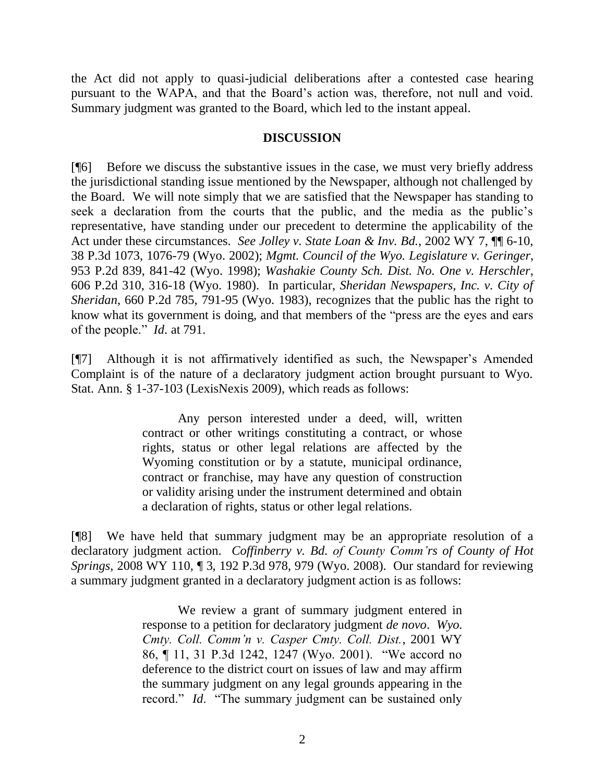the Act did not apply to quasi-judicial deliberations after a contested case hearing pursuant to the WAPA, and that the Board's action was, therefore, not null and void. Summary judgment was granted to the Board, which led to the instant appeal.

### **DISCUSSION**

[¶6] Before we discuss the substantive issues in the case, we must very briefly address the jurisdictional standing issue mentioned by the Newspaper, although not challenged by the Board. We will note simply that we are satisfied that the Newspaper has standing to seek a declaration from the courts that the public, and the media as the public's representative, have standing under our precedent to determine the applicability of the Act under these circumstances. *See Jolley v. State Loan & Inv. Bd.*, 2002 WY 7, ¶¶ 6-10, 38 P.3d 1073, 1076-79 (Wyo. 2002); *Mgmt. Council of the Wyo. Legislature v. Geringer*, 953 P.2d 839, 841-42 (Wyo. 1998); *Washakie County Sch. Dist. No. One v. Herschler*, 606 P.2d 310, 316-18 (Wyo. 1980). In particular, *Sheridan Newspapers, Inc. v. City of Sheridan*, 660 P.2d 785, 791-95 (Wyo. 1983), recognizes that the public has the right to know what its government is doing, and that members of the "press are the eyes and ears of the people." *Id*. at 791.

[¶7] Although it is not affirmatively identified as such, the Newspaper's Amended Complaint is of the nature of a declaratory judgment action brought pursuant to Wyo. Stat. Ann. § 1-37-103 (LexisNexis 2009), which reads as follows:

> Any person interested under a deed, will, written contract or other writings constituting a contract, or whose rights, status or other legal relations are affected by the Wyoming constitution or by a statute, municipal ordinance, contract or franchise, may have any question of construction or validity arising under the instrument determined and obtain a declaration of rights, status or other legal relations.

[¶8] We have held that summary judgment may be an appropriate resolution of a declaratory judgment action. *Coffinberry v. Bd. of County Comm'rs of County of Hot Springs*, 2008 WY 110, ¶ 3, 192 P.3d 978, 979 (Wyo. 2008). Our standard for reviewing a summary judgment granted in a declaratory judgment action is as follows:

> We review a grant of summary judgment entered in response to a petition for declaratory judgment *de novo*. *Wyo. Cmty. Coll. Comm'n v. Casper Cmty. Coll. Dist.*, 2001 WY 86, ¶ 11, 31 P.3d 1242, 1247 (Wyo. 2001). "We accord no deference to the district court on issues of law and may affirm the summary judgment on any legal grounds appearing in the record." *Id.* "The summary judgment can be sustained only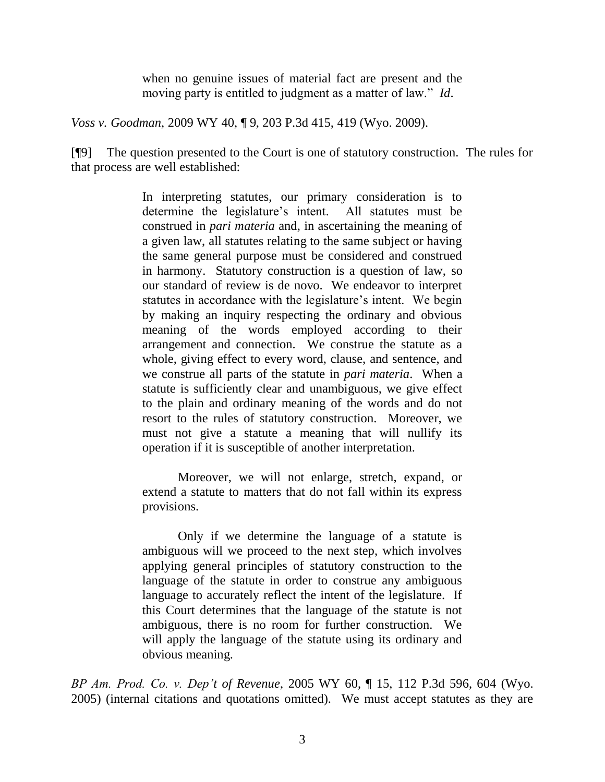when no genuine issues of material fact are present and the moving party is entitled to judgment as a matter of law." *Id*.

*Voss v. Goodman*, 2009 WY 40, ¶ 9, 203 P.3d 415, 419 (Wyo. 2009).

[¶9] The question presented to the Court is one of statutory construction. The rules for that process are well established:

> In interpreting statutes, our primary consideration is to determine the legislature's intent. All statutes must be construed in *pari materia* and, in ascertaining the meaning of a given law, all statutes relating to the same subject or having the same general purpose must be considered and construed in harmony. Statutory construction is a question of law, so our standard of review is de novo. We endeavor to interpret statutes in accordance with the legislature's intent. We begin by making an inquiry respecting the ordinary and obvious meaning of the words employed according to their arrangement and connection. We construe the statute as a whole, giving effect to every word, clause, and sentence, and we construe all parts of the statute in *pari materia*. When a statute is sufficiently clear and unambiguous, we give effect to the plain and ordinary meaning of the words and do not resort to the rules of statutory construction. Moreover, we must not give a statute a meaning that will nullify its operation if it is susceptible of another interpretation.

Moreover, we will not enlarge, stretch, expand, or extend a statute to matters that do not fall within its express provisions.

Only if we determine the language of a statute is ambiguous will we proceed to the next step, which involves applying general principles of statutory construction to the language of the statute in order to construe any ambiguous language to accurately reflect the intent of the legislature. If this Court determines that the language of the statute is not ambiguous, there is no room for further construction. We will apply the language of the statute using its ordinary and obvious meaning.

*BP Am. Prod. Co. v. Dep't of Revenue*, 2005 WY 60, ¶ 15, 112 P.3d 596, 604 (Wyo. 2005) (internal citations and quotations omitted). We must accept statutes as they are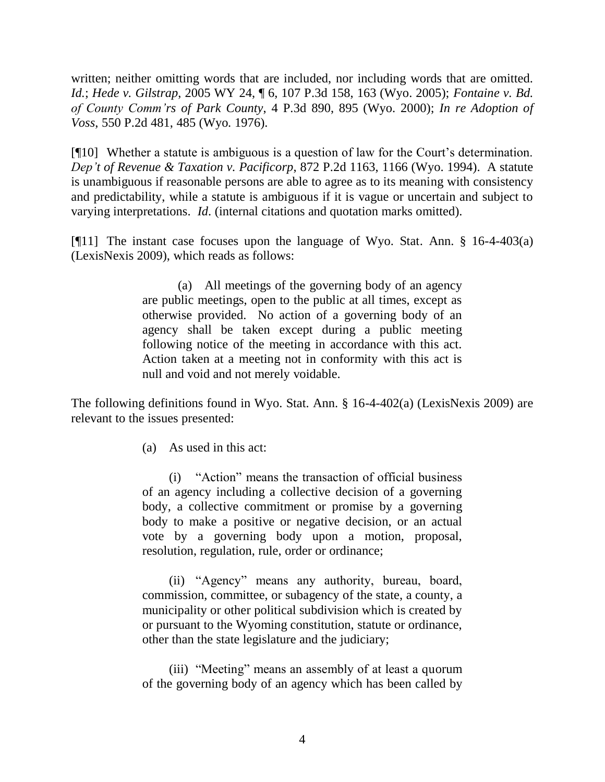written; neither omitting words that are included, nor including words that are omitted. *Id.*; *Hede v. Gilstrap*, 2005 WY 24, ¶ 6, 107 P.3d 158, 163 (Wyo. 2005); *Fontaine v. Bd. of County Comm'rs of Park County*, 4 P.3d 890, 895 (Wyo. 2000); *In re Adoption of Voss*, 550 P.2d 481, 485 (Wyo. 1976).

[¶10] Whether a statute is ambiguous is a question of law for the Court's determination. *Dep't of Revenue & Taxation v. Pacificorp*, 872 P.2d 1163, 1166 (Wyo. 1994). A statute is unambiguous if reasonable persons are able to agree as to its meaning with consistency and predictability, while a statute is ambiguous if it is vague or uncertain and subject to varying interpretations. *Id*. (internal citations and quotation marks omitted).

[¶11] The instant case focuses upon the language of Wyo. Stat. Ann. § 16-4-403(a) (LexisNexis 2009), which reads as follows:

> (a) All meetings of the governing body of an agency are public meetings, open to the public at all times, except as otherwise provided. No action of a governing body of an agency shall be taken except during a public meeting following notice of the meeting in accordance with this act. Action taken at a meeting not in conformity with this act is null and void and not merely voidable.

The following definitions found in Wyo. Stat. Ann. § 16-4-402(a) (LexisNexis 2009) are relevant to the issues presented:

(a) As used in this act:

(i) "Action" means the transaction of official business of an agency including a collective decision of a governing body, a collective commitment or promise by a governing body to make a positive or negative decision, or an actual vote by a governing body upon a motion, proposal, resolution, regulation, rule, order or ordinance;

(ii) "Agency" means any authority, bureau, board, commission, committee, or subagency of the state, a county, a municipality or other political subdivision which is created by or pursuant to the Wyoming constitution, statute or ordinance, other than the state legislature and the judiciary;

(iii) "Meeting" means an assembly of at least a quorum of the governing body of an agency which has been called by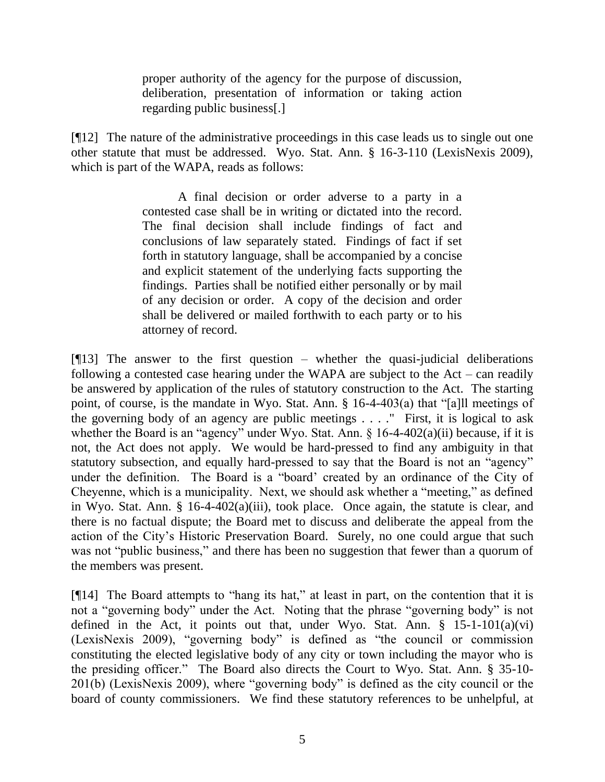proper authority of the agency for the purpose of discussion, deliberation, presentation of information or taking action regarding public business[.]

[¶12] The nature of the administrative proceedings in this case leads us to single out one other statute that must be addressed. Wyo. Stat. Ann. § 16-3-110 (LexisNexis 2009), which is part of the WAPA, reads as follows:

> A final decision or order adverse to a party in a contested case shall be in writing or dictated into the record. The final decision shall include findings of fact and conclusions of law separately stated. Findings of fact if set forth in statutory language, shall be accompanied by a concise and explicit statement of the underlying facts supporting the findings. Parties shall be notified either personally or by mail of any decision or order. A copy of the decision and order shall be delivered or mailed forthwith to each party or to his attorney of record.

 $[913]$  The answer to the first question – whether the quasi-judicial deliberations following a contested case hearing under the WAPA are subject to the Act – can readily be answered by application of the rules of statutory construction to the Act. The starting point, of course, is the mandate in Wyo. Stat. Ann. § 16-4-403(a) that "[a]ll meetings of the governing body of an agency are public meetings . . . ." First, it is logical to ask whether the Board is an "agency" under Wyo. Stat. Ann. § 16-4-402(a)(ii) because, if it is not, the Act does not apply. We would be hard-pressed to find any ambiguity in that statutory subsection, and equally hard-pressed to say that the Board is not an "agency" under the definition. The Board is a "board' created by an ordinance of the City of Cheyenne, which is a municipality. Next, we should ask whether a "meeting," as defined in Wyo. Stat. Ann. § 16-4-402(a)(iii), took place. Once again, the statute is clear, and there is no factual dispute; the Board met to discuss and deliberate the appeal from the action of the City's Historic Preservation Board. Surely, no one could argue that such was not "public business," and there has been no suggestion that fewer than a quorum of the members was present.

[¶14] The Board attempts to "hang its hat," at least in part, on the contention that it is not a "governing body" under the Act. Noting that the phrase "governing body" is not defined in the Act, it points out that, under Wyo. Stat. Ann. § 15-1-101(a)(vi) (LexisNexis 2009), "governing body" is defined as "the council or commission constituting the elected legislative body of any city or town including the mayor who is the presiding officer." The Board also directs the Court to Wyo. Stat. Ann. § 35-10- 201(b) (LexisNexis 2009), where "governing body" is defined as the city council or the board of county commissioners. We find these statutory references to be unhelpful, at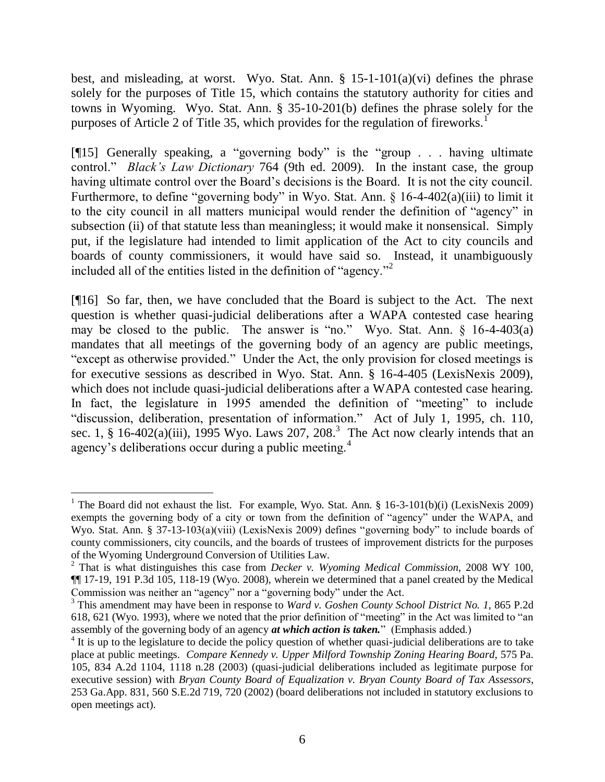best, and misleading, at worst. Wyo. Stat. Ann. § 15-1-101(a)(vi) defines the phrase solely for the purposes of Title 15, which contains the statutory authority for cities and towns in Wyoming. Wyo. Stat. Ann. § 35-10-201(b) defines the phrase solely for the purposes of Article 2 of Title 35, which provides for the regulation of fireworks.<sup>1</sup>

[¶15] Generally speaking, a "governing body" is the "group . . . having ultimate control." *Black's Law Dictionary* 764 (9th ed. 2009). In the instant case, the group having ultimate control over the Board's decisions is the Board. It is not the city council. Furthermore, to define "governing body" in Wyo. Stat. Ann. § 16-4-402(a)(iii) to limit it to the city council in all matters municipal would render the definition of "agency" in subsection (ii) of that statute less than meaningless; it would make it nonsensical. Simply put, if the legislature had intended to limit application of the Act to city councils and boards of county commissioners, it would have said so. Instead, it unambiguously included all of the entities listed in the definition of "agency."<sup>2</sup>

[¶16] So far, then, we have concluded that the Board is subject to the Act. The next question is whether quasi-judicial deliberations after a WAPA contested case hearing may be closed to the public. The answer is "no." Wyo. Stat. Ann.  $\S$  16-4-403(a) mandates that all meetings of the governing body of an agency are public meetings, "except as otherwise provided." Under the Act, the only provision for closed meetings is for executive sessions as described in Wyo. Stat. Ann. § 16-4-405 (LexisNexis 2009), which does not include quasi-judicial deliberations after a WAPA contested case hearing. In fact, the legislature in 1995 amended the definition of "meeting" to include "discussion, deliberation, presentation of information." Act of July 1, 1995, ch. 110, sec. 1, § 16-402(a)(iii), 1995 Wyo. Laws 207, 208.<sup>3</sup> The Act now clearly intends that an agency's deliberations occur during a public meeting.<sup>4</sup>

<sup>&</sup>lt;sup>1</sup> The Board did not exhaust the list. For example, Wyo. Stat. Ann. § 16-3-101(b)(i) (LexisNexis 2009) exempts the governing body of a city or town from the definition of "agency" under the WAPA, and Wyo. Stat. Ann. § 37-13-103(a)(viii) (LexisNexis 2009) defines "governing body" to include boards of county commissioners, city councils, and the boards of trustees of improvement districts for the purposes of the Wyoming Underground Conversion of Utilities Law.

<sup>2</sup> That is what distinguishes this case from *Decker v. Wyoming Medical Commission*, 2008 WY 100, ¶¶ 17-19, 191 P.3d 105, 118-19 (Wyo. 2008), wherein we determined that a panel created by the Medical Commission was neither an "agency" nor a "governing body" under the Act.

<sup>3</sup> This amendment may have been in response to *Ward v. Goshen County School District No. 1*, 865 P.2d 618, 621 (Wyo. 1993), where we noted that the prior definition of "meeting" in the Act was limited to "an assembly of the governing body of an agency *at which action is taken.*" (Emphasis added.)

<sup>&</sup>lt;sup>4</sup> It is up to the legislature to decide the policy question of whether quasi-judicial deliberations are to take place at public meetings. *Compare Kennedy v. Upper Milford Township Zoning Hearing Board*, 575 Pa. 105, 834 A.2d 1104, 1118 n.28 (2003) (quasi-judicial deliberations included as legitimate purpose for executive session) with *Bryan County Board of Equalization v. Bryan County Board of Tax Assessors*, 253 Ga.App. 831, 560 S.E.2d 719, 720 (2002) (board deliberations not included in statutory exclusions to open meetings act).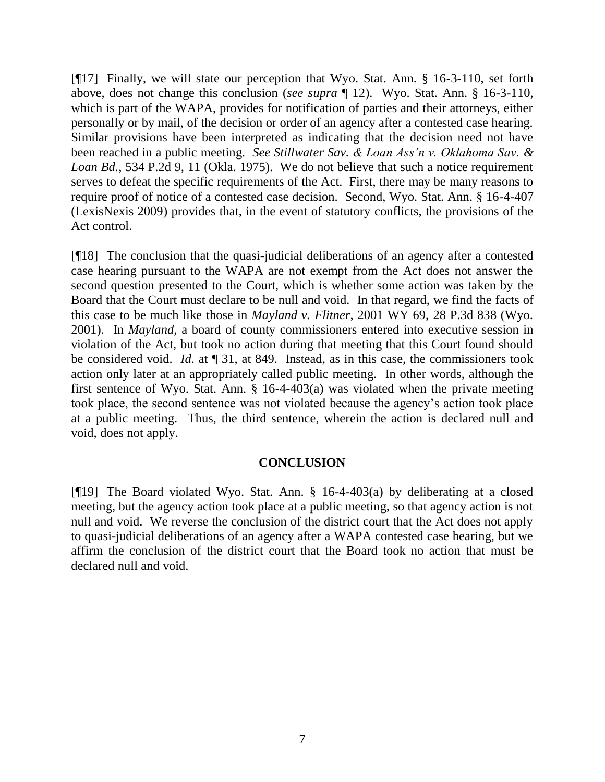[¶17] Finally, we will state our perception that Wyo. Stat. Ann. § 16-3-110, set forth above, does not change this conclusion (*see supra* ¶ 12). Wyo. Stat. Ann. § 16-3-110, which is part of the WAPA, provides for notification of parties and their attorneys, either personally or by mail, of the decision or order of an agency after a contested case hearing. Similar provisions have been interpreted as indicating that the decision need not have been reached in a public meeting. *See Stillwater Sav. & Loan Ass'n v. Oklahoma Sav. & Loan Bd.*, 534 P.2d 9, 11 (Okla. 1975). We do not believe that such a notice requirement serves to defeat the specific requirements of the Act. First, there may be many reasons to require proof of notice of a contested case decision. Second, Wyo. Stat. Ann. § 16-4-407 (LexisNexis 2009) provides that, in the event of statutory conflicts, the provisions of the Act control.

[¶18] The conclusion that the quasi-judicial deliberations of an agency after a contested case hearing pursuant to the WAPA are not exempt from the Act does not answer the second question presented to the Court, which is whether some action was taken by the Board that the Court must declare to be null and void. In that regard, we find the facts of this case to be much like those in *Mayland v. Flitner*, 2001 WY 69, 28 P.3d 838 (Wyo. 2001). In *Mayland*, a board of county commissioners entered into executive session in violation of the Act, but took no action during that meeting that this Court found should be considered void. *Id*. at ¶ 31, at 849. Instead, as in this case, the commissioners took action only later at an appropriately called public meeting. In other words, although the first sentence of Wyo. Stat. Ann. § 16-4-403(a) was violated when the private meeting took place, the second sentence was not violated because the agency's action took place at a public meeting. Thus, the third sentence, wherein the action is declared null and void, does not apply.

### **CONCLUSION**

[¶19] The Board violated Wyo. Stat. Ann. § 16-4-403(a) by deliberating at a closed meeting, but the agency action took place at a public meeting, so that agency action is not null and void. We reverse the conclusion of the district court that the Act does not apply to quasi-judicial deliberations of an agency after a WAPA contested case hearing, but we affirm the conclusion of the district court that the Board took no action that must be declared null and void.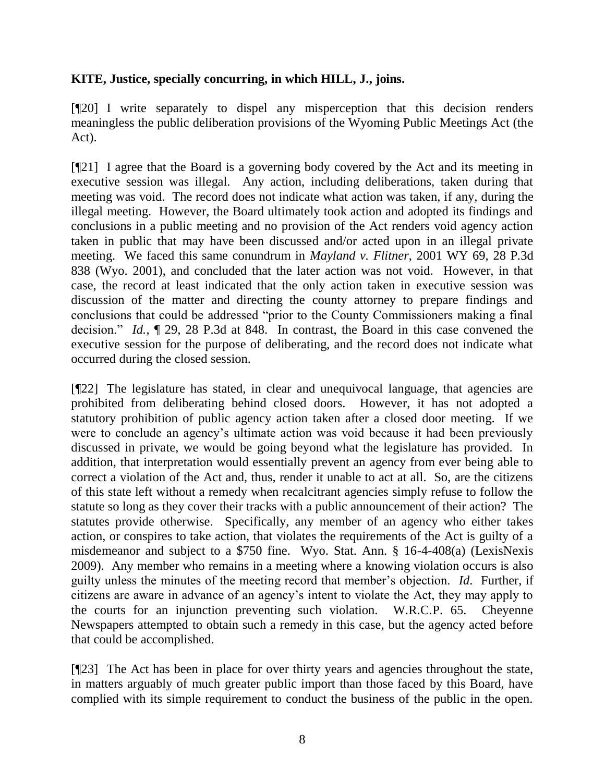## **KITE, Justice, specially concurring, in which HILL, J., joins.**

[¶20] I write separately to dispel any misperception that this decision renders meaningless the public deliberation provisions of the Wyoming Public Meetings Act (the Act).

[¶21] I agree that the Board is a governing body covered by the Act and its meeting in executive session was illegal. Any action, including deliberations, taken during that meeting was void. The record does not indicate what action was taken, if any, during the illegal meeting. However, the Board ultimately took action and adopted its findings and conclusions in a public meeting and no provision of the Act renders void agency action taken in public that may have been discussed and/or acted upon in an illegal private meeting. We faced this same conundrum in *Mayland v. Flitner*, 2001 WY 69, 28 P.3d 838 (Wyo. 2001), and concluded that the later action was not void. However, in that case, the record at least indicated that the only action taken in executive session was discussion of the matter and directing the county attorney to prepare findings and conclusions that could be addressed "prior to the County Commissioners making a final decision." *Id.*, ¶ 29, 28 P.3d at 848. In contrast, the Board in this case convened the executive session for the purpose of deliberating, and the record does not indicate what occurred during the closed session.

[¶22] The legislature has stated, in clear and unequivocal language, that agencies are prohibited from deliberating behind closed doors. However, it has not adopted a statutory prohibition of public agency action taken after a closed door meeting. If we were to conclude an agency's ultimate action was void because it had been previously discussed in private, we would be going beyond what the legislature has provided. In addition, that interpretation would essentially prevent an agency from ever being able to correct a violation of the Act and, thus, render it unable to act at all. So, are the citizens of this state left without a remedy when recalcitrant agencies simply refuse to follow the statute so long as they cover their tracks with a public announcement of their action? The statutes provide otherwise. Specifically, any member of an agency who either takes action, or conspires to take action, that violates the requirements of the Act is guilty of a misdemeanor and subject to a \$750 fine. Wyo. Stat. Ann. § 16-4-408(a) (LexisNexis 2009). Any member who remains in a meeting where a knowing violation occurs is also guilty unless the minutes of the meeting record that member's objection. *Id*. Further, if citizens are aware in advance of an agency's intent to violate the Act, they may apply to the courts for an injunction preventing such violation. W.R.C.P. 65. Cheyenne Newspapers attempted to obtain such a remedy in this case, but the agency acted before that could be accomplished.

[¶23] The Act has been in place for over thirty years and agencies throughout the state, in matters arguably of much greater public import than those faced by this Board, have complied with its simple requirement to conduct the business of the public in the open.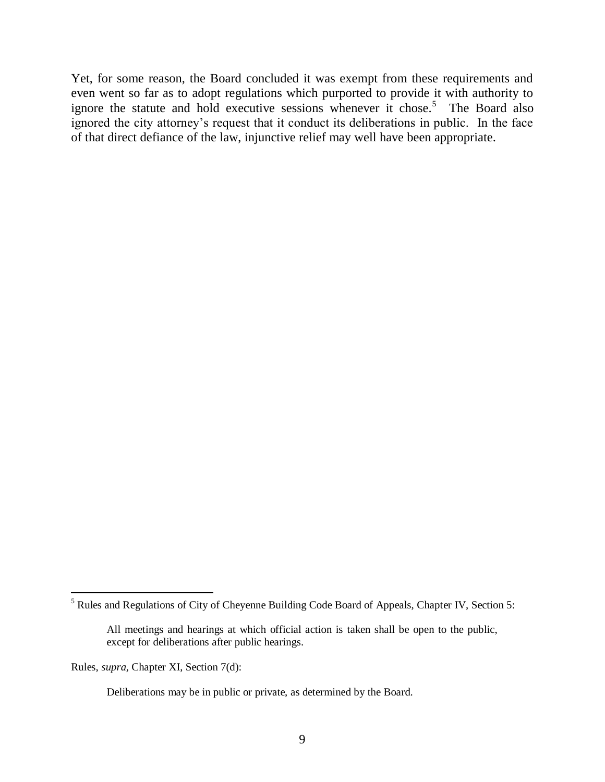Yet, for some reason, the Board concluded it was exempt from these requirements and even went so far as to adopt regulations which purported to provide it with authority to ignore the statute and hold executive sessions whenever it chose.<sup>5</sup> The Board also ignored the city attorney's request that it conduct its deliberations in public. In the face of that direct defiance of the law, injunctive relief may well have been appropriate.

Rules, *supra,* Chapter XI, Section 7(d):

<sup>&</sup>lt;sup>5</sup> Rules and Regulations of City of Cheyenne Building Code Board of Appeals, Chapter IV, Section 5:

All meetings and hearings at which official action is taken shall be open to the public, except for deliberations after public hearings.

Deliberations may be in public or private, as determined by the Board.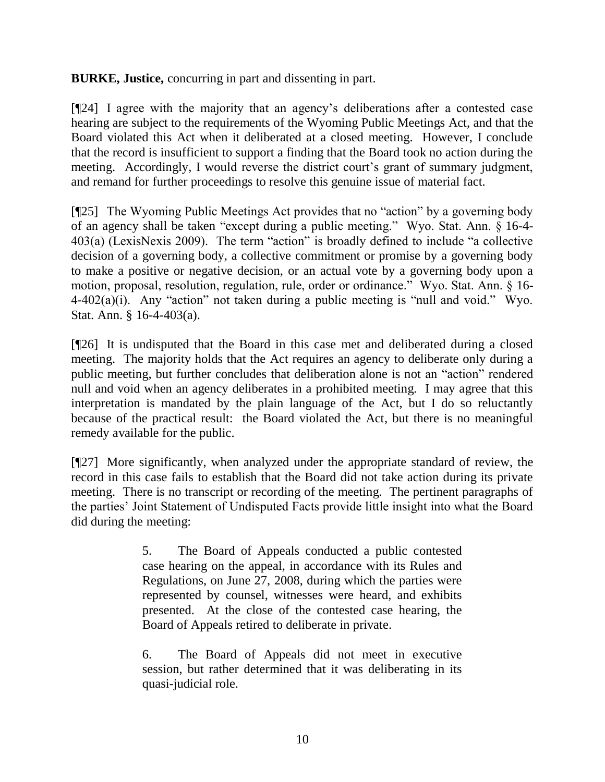**BURKE, Justice,** concurring in part and dissenting in part.

[¶24] I agree with the majority that an agency's deliberations after a contested case hearing are subject to the requirements of the Wyoming Public Meetings Act, and that the Board violated this Act when it deliberated at a closed meeting. However, I conclude that the record is insufficient to support a finding that the Board took no action during the meeting. Accordingly, I would reverse the district court's grant of summary judgment, and remand for further proceedings to resolve this genuine issue of material fact.

[¶25] The Wyoming Public Meetings Act provides that no "action" by a governing body of an agency shall be taken "except during a public meeting." Wyo. Stat. Ann. § 16-4- 403(a) (LexisNexis 2009). The term "action" is broadly defined to include "a collective decision of a governing body, a collective commitment or promise by a governing body to make a positive or negative decision, or an actual vote by a governing body upon a motion, proposal, resolution, regulation, rule, order or ordinance." Wyo. Stat. Ann. § 16- 4-402(a)(i). Any "action" not taken during a public meeting is "null and void." Wyo. Stat. Ann. § 16-4-403(a).

[¶26] It is undisputed that the Board in this case met and deliberated during a closed meeting. The majority holds that the Act requires an agency to deliberate only during a public meeting, but further concludes that deliberation alone is not an "action" rendered null and void when an agency deliberates in a prohibited meeting. I may agree that this interpretation is mandated by the plain language of the Act, but I do so reluctantly because of the practical result: the Board violated the Act, but there is no meaningful remedy available for the public.

[¶27] More significantly, when analyzed under the appropriate standard of review, the record in this case fails to establish that the Board did not take action during its private meeting. There is no transcript or recording of the meeting. The pertinent paragraphs of the parties' Joint Statement of Undisputed Facts provide little insight into what the Board did during the meeting:

> 5. The Board of Appeals conducted a public contested case hearing on the appeal, in accordance with its Rules and Regulations, on June 27, 2008, during which the parties were represented by counsel, witnesses were heard, and exhibits presented. At the close of the contested case hearing, the Board of Appeals retired to deliberate in private.

> 6. The Board of Appeals did not meet in executive session, but rather determined that it was deliberating in its quasi-judicial role.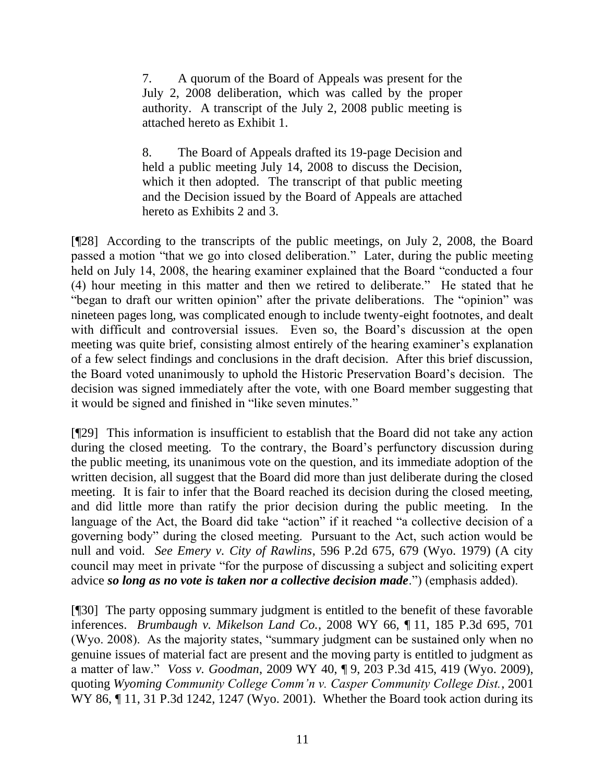7. A quorum of the Board of Appeals was present for the July 2, 2008 deliberation, which was called by the proper authority. A transcript of the July 2, 2008 public meeting is attached hereto as Exhibit 1.

8. The Board of Appeals drafted its 19-page Decision and held a public meeting July 14, 2008 to discuss the Decision, which it then adopted. The transcript of that public meeting and the Decision issued by the Board of Appeals are attached hereto as Exhibits 2 and 3.

[¶28] According to the transcripts of the public meetings, on July 2, 2008, the Board passed a motion "that we go into closed deliberation." Later, during the public meeting held on July 14, 2008, the hearing examiner explained that the Board "conducted a four (4) hour meeting in this matter and then we retired to deliberate." He stated that he "began to draft our written opinion" after the private deliberations. The "opinion" was nineteen pages long, was complicated enough to include twenty-eight footnotes, and dealt with difficult and controversial issues. Even so, the Board's discussion at the open meeting was quite brief, consisting almost entirely of the hearing examiner's explanation of a few select findings and conclusions in the draft decision. After this brief discussion, the Board voted unanimously to uphold the Historic Preservation Board's decision. The decision was signed immediately after the vote, with one Board member suggesting that it would be signed and finished in "like seven minutes."

[¶29] This information is insufficient to establish that the Board did not take any action during the closed meeting. To the contrary, the Board's perfunctory discussion during the public meeting, its unanimous vote on the question, and its immediate adoption of the written decision, all suggest that the Board did more than just deliberate during the closed meeting. It is fair to infer that the Board reached its decision during the closed meeting, and did little more than ratify the prior decision during the public meeting. In the language of the Act, the Board did take "action" if it reached "a collective decision of a governing body" during the closed meeting. Pursuant to the Act, such action would be null and void. *See Emery v. City of Rawlins*, 596 P.2d 675, 679 (Wyo. 1979) (A city council may meet in private "for the purpose of discussing a subject and soliciting expert advice *so long as no vote is taken nor a collective decision made*.") (emphasis added).

[¶30] The party opposing summary judgment is entitled to the benefit of these favorable inferences. *Brumbaugh v. Mikelson Land Co.*, 2008 WY 66, ¶ 11, 185 P.3d 695, 701 (Wyo. 2008). As the majority states, "summary judgment can be sustained only when no genuine issues of material fact are present and the moving party is entitled to judgment as a matter of law." *Voss v. Goodman*, 2009 WY 40, ¶ 9, 203 P.3d 415, 419 (Wyo. 2009), quoting *Wyoming Community College Comm'n v. Casper Community College Dist.*, 2001 WY 86, ¶ 11, 31 P.3d 1242, 1247 (Wyo. 2001). Whether the Board took action during its